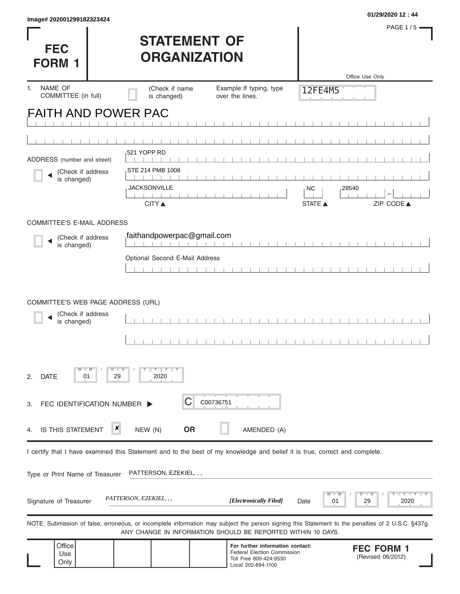| Image# 202001299182323424          |                                            |                                                                                                                                                                                                                   |                    | 01/29/2020 12:44                          |
|------------------------------------|--------------------------------------------|-------------------------------------------------------------------------------------------------------------------------------------------------------------------------------------------------------------------|--------------------|-------------------------------------------|
|                                    |                                            |                                                                                                                                                                                                                   |                    | <b>PAGE 1/5</b>                           |
| <b>FEC</b>                         | <b>STATEMENT OF</b><br><b>ORGANIZATION</b> |                                                                                                                                                                                                                   |                    |                                           |
| <b>FORM 1</b>                      |                                            |                                                                                                                                                                                                                   |                    | Office Use Only                           |
| NAME OF<br>1.                      | (Check if name                             | Example: If typing, type                                                                                                                                                                                          | 12FE4M5            |                                           |
| COMMITTEE (in full)                | is changed)                                | over the lines.                                                                                                                                                                                                   |                    |                                           |
| <b>FAITH AND POWER PAC</b>         |                                            |                                                                                                                                                                                                                   |                    |                                           |
|                                    |                                            |                                                                                                                                                                                                                   |                    |                                           |
| ADDRESS (number and street)        | 521 YOPP RD                                |                                                                                                                                                                                                                   |                    |                                           |
| (Check if address                  | STE 214 PMB 1008                           |                                                                                                                                                                                                                   |                    |                                           |
| is changed)                        | JACKSONVILLE                               |                                                                                                                                                                                                                   | 28540<br><b>NC</b> |                                           |
|                                    | <b>CITY</b> ▲                              |                                                                                                                                                                                                                   | STATE A            | ZIP CODE▲                                 |
| <b>COMMITTEE'S E-MAIL ADDRESS</b>  |                                            |                                                                                                                                                                                                                   |                    |                                           |
| (Check if address                  | faithandpowerpac@gmail.com                 |                                                                                                                                                                                                                   |                    |                                           |
| is changed)                        | Optional Second E-Mail Address             | 1 1 1 1 1 1 1                                                                                                                                                                                                     |                    |                                           |
|                                    |                                            |                                                                                                                                                                                                                   |                    |                                           |
|                                    |                                            |                                                                                                                                                                                                                   |                    |                                           |
| COMMITTEE'S WEB PAGE ADDRESS (URL) |                                            |                                                                                                                                                                                                                   |                    |                                           |
| (Check if address<br>is changed)   |                                            |                                                                                                                                                                                                                   |                    |                                           |
|                                    |                                            |                                                                                                                                                                                                                   |                    |                                           |
|                                    |                                            |                                                                                                                                                                                                                   |                    |                                           |
| w<br><b>DATE</b><br>2.<br>01       | $Y$ $Y$ $Y$<br>$D$ $D$<br>29<br>2020       |                                                                                                                                                                                                                   |                    |                                           |
| FEC IDENTIFICATION NUMBER D<br>3.  | Ĉ                                          | C00736751                                                                                                                                                                                                         |                    |                                           |
|                                    |                                            |                                                                                                                                                                                                                   |                    |                                           |
| <b>IS THIS STATEMENT</b><br>4.     | ×<br><b>OR</b><br>NEW (N)                  | AMENDED (A)                                                                                                                                                                                                       |                    |                                           |
|                                    |                                            | I certify that I have examined this Statement and to the best of my knowledge and belief it is true, correct and complete.                                                                                        |                    |                                           |
| Type or Print Name of Treasurer    | PATTERSON, EZEKIEL, , ,                    |                                                                                                                                                                                                                   |                    |                                           |
| Signature of Treasurer             | PATTERSON, EZEKIEL, , ,                    | [Electronically Filed]                                                                                                                                                                                            | 01<br>Date         | $-Y - Y - Y$<br>D<br>$\Box$<br>2020<br>29 |
|                                    |                                            | NOTE: Submission of false, erroneous, or incomplete information may subject the person signing this Statement to the penalties of 2 U.S.C. §437g.<br>ANY CHANGE IN INFORMATION SHOULD BE REPORTED WITHIN 10 DAYS. |                    |                                           |
| Office<br>Use<br>Only              |                                            | For further information contact:<br><b>Federal Election Commission</b><br>Toll Free 800-424-9530<br>Local 202-694-1100                                                                                            |                    | <b>FEC FORM 1</b><br>(Revised 06/2012)    |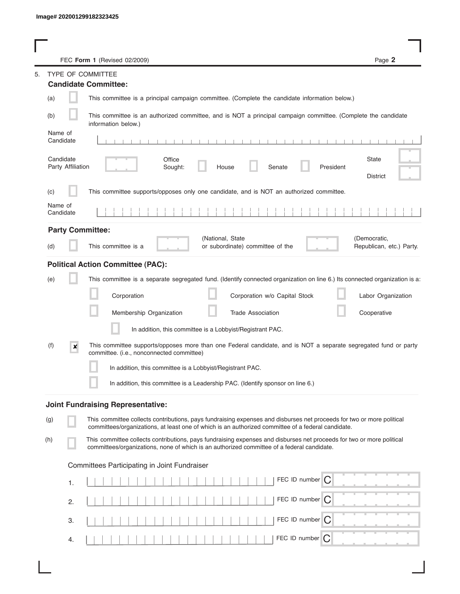|                                | FEC Form 1 (Revised 02/2009)                                                                                                                                                                                                | Page 2                                   |
|--------------------------------|-----------------------------------------------------------------------------------------------------------------------------------------------------------------------------------------------------------------------------|------------------------------------------|
|                                | TYPE OF COMMITTEE                                                                                                                                                                                                           |                                          |
|                                | <b>Candidate Committee:</b>                                                                                                                                                                                                 |                                          |
| (a)                            | This committee is a principal campaign committee. (Complete the candidate information below.)                                                                                                                               |                                          |
| (b)                            | This committee is an authorized committee, and is NOT a principal campaign committee. (Complete the candidate<br>information below.)                                                                                        |                                          |
| Name of<br>Candidate           |                                                                                                                                                                                                                             |                                          |
| Candidate<br>Party Affiliation | Office<br>Senate<br>President<br>Sought:<br>House                                                                                                                                                                           | State<br><b>District</b>                 |
| (c)                            | This committee supports/opposes only one candidate, and is NOT an authorized committee.                                                                                                                                     |                                          |
| Name of<br>Candidate           |                                                                                                                                                                                                                             |                                          |
| <b>Party Committee:</b>        |                                                                                                                                                                                                                             |                                          |
| (d)                            | (National, State<br>This committee is a<br>or subordinate) committee of the                                                                                                                                                 | (Democratic,<br>Republican, etc.) Party. |
|                                | <b>Political Action Committee (PAC):</b>                                                                                                                                                                                    |                                          |
| (e)                            | This committee is a separate segregated fund. (Identify connected organization on line 6.) Its connected organization is a:                                                                                                 |                                          |
|                                | Corporation<br>Corporation w/o Capital Stock                                                                                                                                                                                | Labor Organization                       |
|                                | Membership Organization<br><b>Trade Association</b>                                                                                                                                                                         | Cooperative                              |
|                                | In addition, this committee is a Lobbyist/Registrant PAC.                                                                                                                                                                   |                                          |
| (f)<br>×                       | This committee supports/opposes more than one Federal candidate, and is NOT a separate segregated fund or party<br>committee. (i.e., nonconnected committee)                                                                |                                          |
|                                | In addition, this committee is a Lobbyist/Registrant PAC.                                                                                                                                                                   |                                          |
|                                | In addition, this committee is a Leadership PAC. (Identify sponsor on line 6.)                                                                                                                                              |                                          |
|                                | <b>Joint Fundraising Representative:</b>                                                                                                                                                                                    |                                          |
| (g)                            | This committee collects contributions, pays fundraising expenses and disburses net proceeds for two or more political<br>committees/organizations, at least one of which is an authorized committee of a federal candidate. |                                          |
| (h)                            | This committee collects contributions, pays fundraising expenses and disburses net proceeds for two or more political<br>committees/organizations, none of which is an authorized committee of a federal candidate.         |                                          |
|                                | Committees Participating in Joint Fundraiser                                                                                                                                                                                |                                          |
| 1.                             | FEC ID number $\bigcap$                                                                                                                                                                                                     |                                          |
| 2.                             | FEC ID number C                                                                                                                                                                                                             |                                          |
| 3.                             | FEC ID number $\bigcap$                                                                                                                                                                                                     |                                          |
| 4.                             | FEC ID number $\bigcap$                                                                                                                                                                                                     |                                          |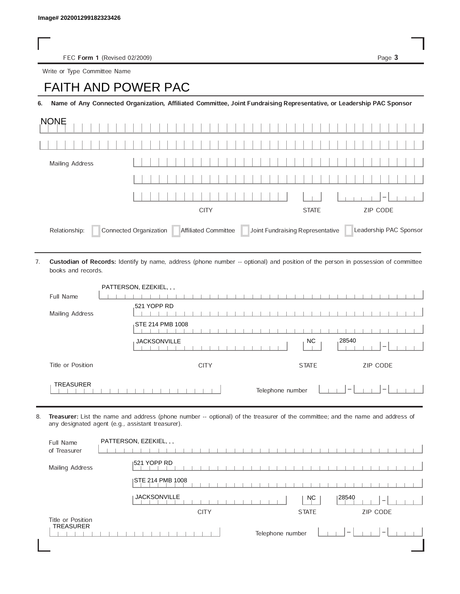FEC Form 1 (Revised 02/2009) Page 3

Write or Type Committee Name

## Image# 202001299182323426<br>
FEC Form 1 (Revised 02/2009)<br>
Write or Type Committee Name<br> **FAITH AND POWER PAC**

6. Name of Any Connected Organization, Affiliated Committee, Joint Fundraising Representative, or Leadership PAC Sponsor

| <b>NONE</b>                                                                                                                |              |                 |  |         |  |  |  |  |  |  |  |
|----------------------------------------------------------------------------------------------------------------------------|--------------|-----------------|--|---------|--|--|--|--|--|--|--|
|                                                                                                                            |              |                 |  |         |  |  |  |  |  |  |  |
| Mailing Address                                                                                                            |              |                 |  |         |  |  |  |  |  |  |  |
|                                                                                                                            |              |                 |  |         |  |  |  |  |  |  |  |
|                                                                                                                            |              |                 |  | $1 - 1$ |  |  |  |  |  |  |  |
|                                                                                                                            | <b>STATE</b> | <b>ZIP CODE</b> |  |         |  |  |  |  |  |  |  |
| Affiliated Committee Joint Fundraising Representative<br>Connected Organization<br>Leadership PAC Sponsor<br>Relationship: |              |                 |  |         |  |  |  |  |  |  |  |

Custodian of Records: Identify by name, address (phone number -- optional) and position of the person in possession of committee books and records. 7.

|                   | PATTERSON, EZEKIEL, , ,                                                             |
|-------------------|-------------------------------------------------------------------------------------|
| Full Name         |                                                                                     |
|                   | 521 YOPP RD                                                                         |
| Mailing Address   |                                                                                     |
|                   | STE 214 PMB 1008                                                                    |
|                   | .28540<br>NC.<br><b>JACKSONVILLE</b><br>$\overline{\phantom{a}}$                    |
| Title or Position | <b>CITY</b><br><b>STATE</b><br><b>ZIP CODE</b>                                      |
| <b>TREASURER</b>  | Telephone number<br>$\hspace{0.1mm}-\hspace{0.1mm}$<br>$\qquad \qquad \blacksquare$ |

8. Treasurer: List the name and address (phone number -- optional) of the treasurer of the committee; and the name and address of any designated agent (e.g., assistant treasurer).

| Full Name<br>of Treasurer | PATTERSON, EZEKIEL, , , |                                                |
|---------------------------|-------------------------|------------------------------------------------|
| Mailing Address           | 1521 YOPP RD            |                                                |
|                           | ISTE 214 PMB 1008       |                                                |
|                           | <b>JACKSONVILLE</b>     | 28540<br><b>NC</b><br>$\overline{\phantom{a}}$ |
|                           |                         |                                                |
|                           | <b>CITY</b>             | <b>ZIP CODE</b><br><b>STATE</b>                |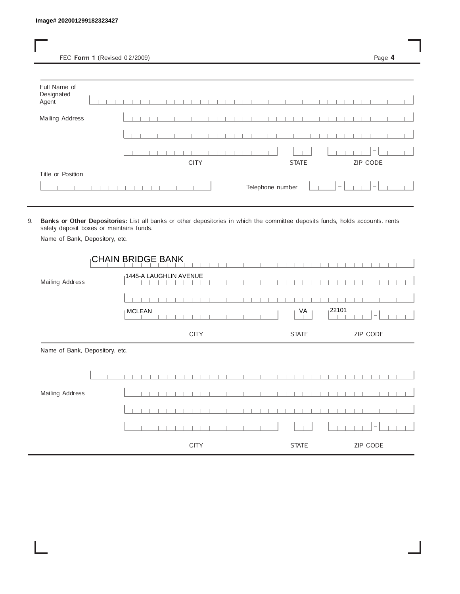FEC Form 1 (Revised 02/2009) Page 4

| Full Name of<br>Designated<br>Agent |  |  |  |  |             |  |  |  |  |  |                  |              |  |                                 |  |                  |  |  |
|-------------------------------------|--|--|--|--|-------------|--|--|--|--|--|------------------|--------------|--|---------------------------------|--|------------------|--|--|
| <b>Mailing Address</b>              |  |  |  |  |             |  |  |  |  |  |                  |              |  |                                 |  |                  |  |  |
|                                     |  |  |  |  |             |  |  |  |  |  |                  |              |  |                                 |  |                  |  |  |
|                                     |  |  |  |  |             |  |  |  |  |  |                  |              |  |                                 |  | $\hspace{0.1mm}$ |  |  |
|                                     |  |  |  |  | <b>CITY</b> |  |  |  |  |  |                  | <b>STATE</b> |  |                                 |  | ZIP CODE         |  |  |
| Title or Position                   |  |  |  |  |             |  |  |  |  |  |                  |              |  |                                 |  |                  |  |  |
|                                     |  |  |  |  |             |  |  |  |  |  | Telephone number |              |  | $\hspace{0.1mm}-\hspace{0.1mm}$ |  | $\overline{ }$   |  |  |

9. Banks or Other Depositories: List all banks or other depositories in which the committee deposits funds, holds accounts, rents safety deposit boxes or maintains funds.

Name of Bank, Depository, etc.

|                                | <b>CHAIN BRIDGE BANK</b> |              |                                    |
|--------------------------------|--------------------------|--------------|------------------------------------|
| Mailing Address                | 1445-A LAUGHLIN AVENUE   |              |                                    |
|                                |                          |              |                                    |
|                                | <b>MCLEAN</b>            | VA           | 122101<br>$\overline{\phantom{a}}$ |
|                                | <b>CITY</b>              | <b>STATE</b> | ZIP CODE                           |
| Name of Bank, Depository, etc. |                          |              |                                    |
|                                |                          |              |                                    |
| Mailing Address                |                          |              |                                    |
|                                |                          |              |                                    |
|                                |                          |              |                                    |
|                                | <b>CITY</b>              | <b>STATE</b> | ZIP CODE                           |